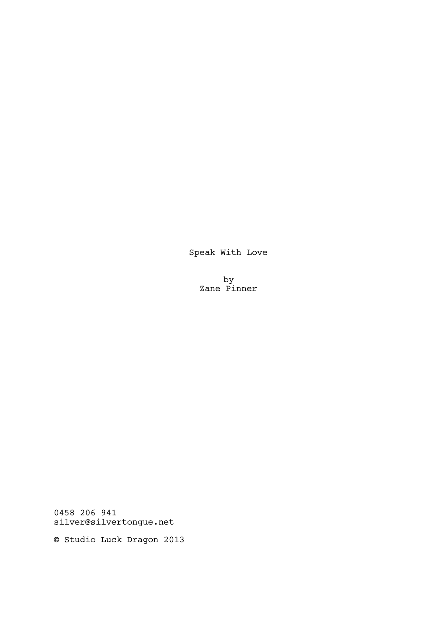Speak With Love

by Zane Pinner

0458 206 941 silver@silvertongue.net

© Studio Luck Dragon 2013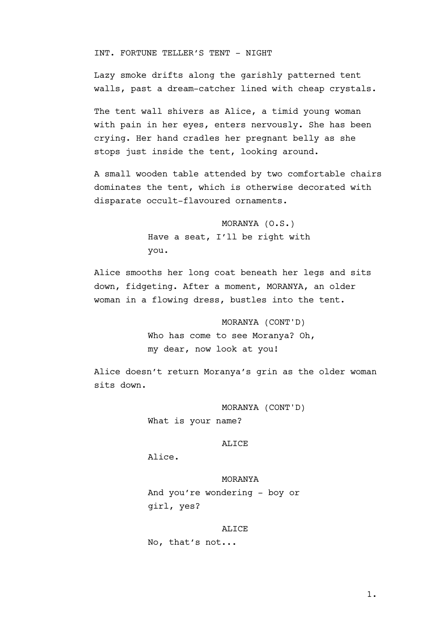INT. FORTUNE TELLER'S TENT - NIGHT

Lazy smoke drifts along the garishly patterned tent walls, past a dream-catcher lined with cheap crystals.

The tent wall shivers as Alice, a timid young woman with pain in her eyes, enters nervously. She has been crying. Her hand cradles her pregnant belly as she stops just inside the tent, looking around.

A small wooden table attended by two comfortable chairs dominates the tent, which is otherwise decorated with disparate occult-flavoured ornaments.

> MORANYA (O.S.) Have a seat, I'll be right with you.

Alice smooths her long coat beneath her legs and sits down, fidgeting. After a moment, MORANYA, an older woman in a flowing dress, bustles into the tent.

> MORANYA (CONT'D) Who has come to see Moranya? Oh, my dear, now look at you!

Alice doesn't return Moranya's grin as the older woman sits down.

MORANYA (CONT'D)

What is your name?

#### ALICE

Alice.

## MORANYA

And you're wondering - boy or girl, yes?

#### ALICE

No, that's not...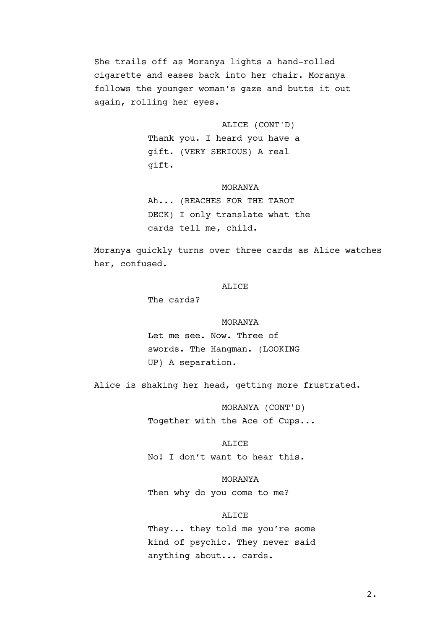She trails off as Moranya lights a hand-rolled cigarette and eases back into her chair. Moranya follows the younger woman's gaze and butts it out again, rolling her eyes.

ALICE (CONT'D)

Thank you. I heard you have a gift. (VERY SERIOUS) A real gift.

## MORANYA

Ah... (REACHES FOR THE TAROT DECK) I only translate what the cards tell me, child.

Moranya quickly turns over three cards as Alice watches her, confused.

## ALICE

The cards?

### MORANYA

Let me see. Now. Three of swords. The Hangman. (LOOKING UP) A separation.

Alice is shaking her head, getting more frustrated.

MORANYA (CONT'D) Together with the Ace of Cups...

#### ALICE

No! I don't want to hear this.

MORANYA Then why do you come to me?

### ALICE

They... they told me you're some kind of psychic. They never said anything about... cards.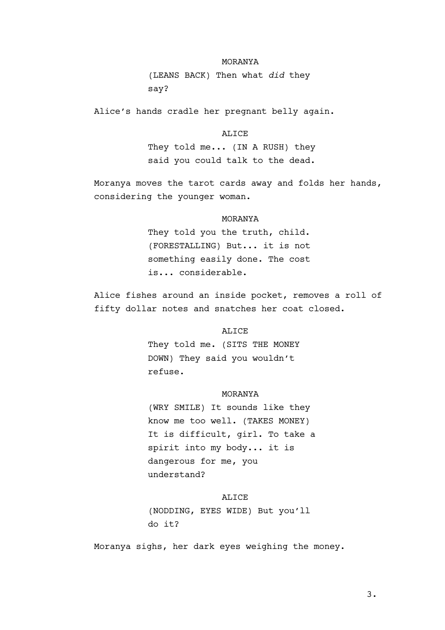## MORANYA

(LEANS BACK) Then what *did* they say?

Alice's hands cradle her pregnant belly again.

ALICE They told me... (IN A RUSH) they said you could talk to the dead.

Moranya moves the tarot cards away and folds her hands, considering the younger woman.

## MORANYA

They told you the truth, child. (FORESTALLING) But... it is not something easily done. The cost is... considerable.

Alice fishes around an inside pocket, removes a roll of fifty dollar notes and snatches her coat closed.

## ALICE

They told me. (SITS THE MONEY DOWN) They said you wouldn't refuse.

## MORANYA

(WRY SMILE) It sounds like they know me too well. (TAKES MONEY) It is difficult, girl. To take a spirit into my body... it is dangerous for me, you understand?

### ALICE

(NODDING, EYES WIDE) But you'll do it?

Moranya sighs, her dark eyes weighing the money.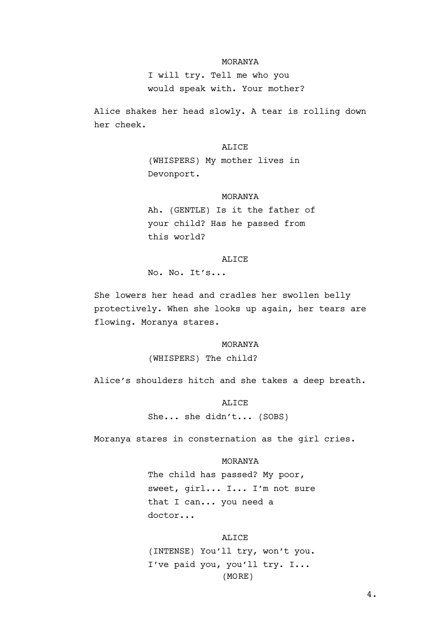## MORANYA

I will try. Tell me who you would speak with. Your mother?

Alice shakes her head slowly. A tear is rolling down her cheek.

## ALICE

(WHISPERS) My mother lives in Devonport.

## MORANYA

Ah. (GENTLE) Is it the father of your child? Has he passed from this world?

### ALICE

No. No. It's...

She lowers her head and cradles her swollen belly protectively. When she looks up again, her tears are flowing. Moranya stares.

#### MORANYA

(WHISPERS) The child?

Alice's shoulders hitch and she takes a deep breath.

ALICE She... she didn't... (SOBS)

Moranya stares in consternation as the girl cries.

## MORANYA

The child has passed? My poor, sweet, girl... I... I'm not sure that I can... you need a doctor...

#### ALICE

(INTENSE) You'll try, won't you. I've paid you, you'll try. I... (MORE)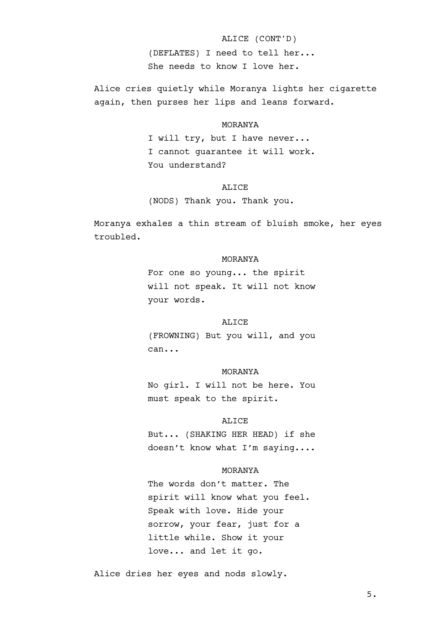# ALICE (CONT'D)

(DEFLATES) I need to tell her... She needs to know I love her.

Alice cries quietly while Moranya lights her cigarette again, then purses her lips and leans forward.

### MORANYA

I will try, but I have never... I cannot guarantee it will work. You understand?

## ALICE

(NODS) Thank you. Thank you.

Moranya exhales a thin stream of bluish smoke, her eyes troubled.

## MORANYA

For one so young... the spirit will not speak. It will not know your words.

#### ALICE

(FROWNING) But you will, and you can...

#### MORANYA

No girl. I will not be here. You must speak to the spirit.

### ALICE

But... (SHAKING HER HEAD) if she doesn't know what I'm saying....

## MORANYA

The words don't matter. The spirit will know what you feel. Speak with love. Hide your sorrow, your fear, just for a little while. Show it your love... and let it go.

Alice dries her eyes and nods slowly.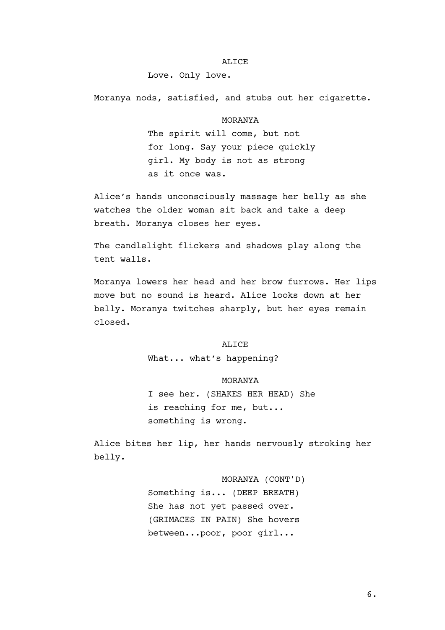## ALICE

## Love. Only love.

Moranya nods, satisfied, and stubs out her cigarette.

## MORANYA

The spirit will come, but not for long. Say your piece quickly girl. My body is not as strong as it once was.

Alice's hands unconsciously massage her belly as she watches the older woman sit back and take a deep breath. Moranya closes her eyes.

The candlelight flickers and shadows play along the tent walls.

Moranya lowers her head and her brow furrows. Her lips move but no sound is heard. Alice looks down at her belly. Moranya twitches sharply, but her eyes remain closed.

## ALICE

What... what's happening?

### MORANYA

I see her. (SHAKES HER HEAD) She is reaching for me, but... something is wrong.

Alice bites her lip, her hands nervously stroking her belly.

> MORANYA (CONT'D) Something is... (DEEP BREATH) She has not yet passed over. (GRIMACES IN PAIN) She hovers between...poor, poor girl...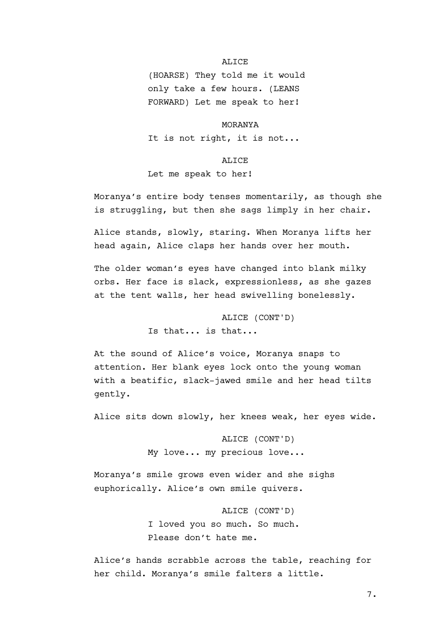## ALICE

(HOARSE) They told me it would only take a few hours. (LEANS FORWARD) Let me speak to her!

MORANYA

It is not right, it is not...

ALICE

Let me speak to her!

Moranya's entire body tenses momentarily, as though she is struggling, but then she sags limply in her chair.

Alice stands, slowly, staring. When Moranya lifts her head again, Alice claps her hands over her mouth.

The older woman's eyes have changed into blank milky orbs. Her face is slack, expressionless, as she gazes at the tent walls, her head swivelling bonelessly.

> ALICE (CONT'D) Is that... is that...

At the sound of Alice's voice, Moranya snaps to attention. Her blank eyes lock onto the young woman with a beatific, slack-jawed smile and her head tilts gently.

Alice sits down slowly, her knees weak, her eyes wide.

ALICE (CONT'D) My love... my precious love...

Moranya's smile grows even wider and she sighs euphorically. Alice's own smile quivers.

> ALICE (CONT'D) I loved you so much. So much. Please don't hate me.

Alice's hands scrabble across the table, reaching for her child. Moranya's smile falters a little.

7.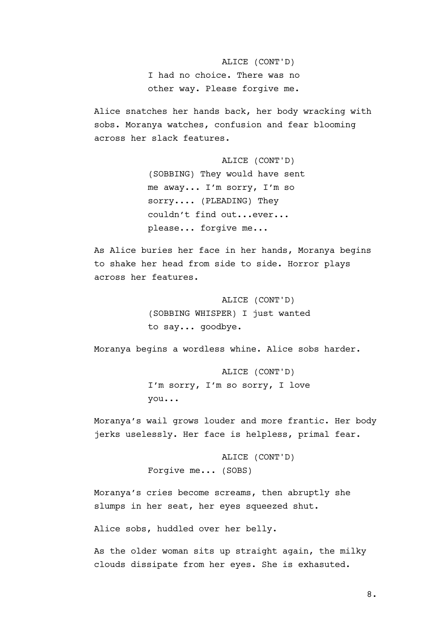ALICE (CONT'D) I had no choice. There was no other way. Please forgive me.

Alice snatches her hands back, her body wracking with sobs. Moranya watches, confusion and fear blooming across her slack features.

> ALICE (CONT'D) (SOBBING) They would have sent me away... I'm sorry, I'm so sorry.... (PLEADING) They couldn't find out...ever... please... forgive me...

As Alice buries her face in her hands, Moranya begins to shake her head from side to side. Horror plays across her features.

> ALICE (CONT'D) (SOBBING WHISPER) I just wanted to say... goodbye.

Moranya begins a wordless whine. Alice sobs harder.

ALICE (CONT'D) I'm sorry, I'm so sorry, I love you...

Moranya's wail grows louder and more frantic. Her body jerks uselessly. Her face is helpless, primal fear.

> ALICE (CONT'D) Forgive me... (SOBS)

Moranya's cries become screams, then abruptly she slumps in her seat, her eyes squeezed shut.

Alice sobs, huddled over her belly.

As the older woman sits up straight again, the milky clouds dissipate from her eyes. She is exhasuted.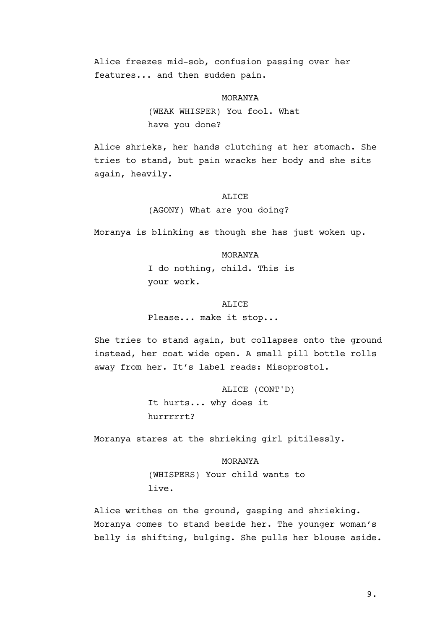Alice freezes mid-sob, confusion passing over her features... and then sudden pain.

## MORANYA

(WEAK WHISPER) You fool. What have you done?

Alice shrieks, her hands clutching at her stomach. She tries to stand, but pain wracks her body and she sits again, heavily.

## ALICE

(AGONY) What are you doing?

Moranya is blinking as though she has just woken up.

## MORANYA

I do nothing, child. This is your work.

#### ALICE

Please... make it stop...

She tries to stand again, but collapses onto the ground instead, her coat wide open. A small pill bottle rolls away from her. It's label reads: Misoprostol.

> ALICE (CONT'D) It hurts... why does it hurrrrrt?

Moranya stares at the shrieking girl pitilessly.

MORANYA (WHISPERS) Your child wants to live.

Alice writhes on the ground, gasping and shrieking. Moranya comes to stand beside her. The younger woman's belly is shifting, bulging. She pulls her blouse aside.